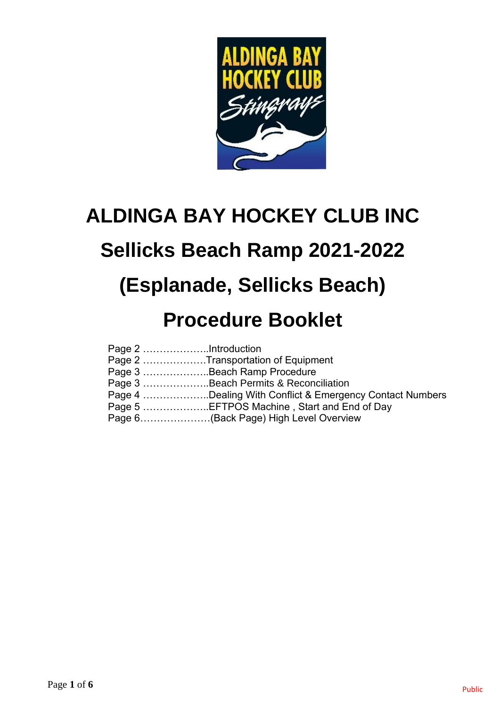

# **ALDINGA BAY HOCKEY CLUB INC**

# **Sellicks Beach Ramp 2021-2022**

# **(Esplanade, Sellicks Beach)**

## **Procedure Booklet**

| Page 2 Transportation of Equipment                       |
|----------------------------------------------------------|
| Page 3 Beach Ramp Procedure                              |
| Page 3 Beach Permits & Reconciliation                    |
| Page 4 Dealing With Conflict & Emergency Contact Numbers |
| Page 5 EFTPOS Machine, Start and End of Day              |
| Page 6(Back Page) High Level Overview                    |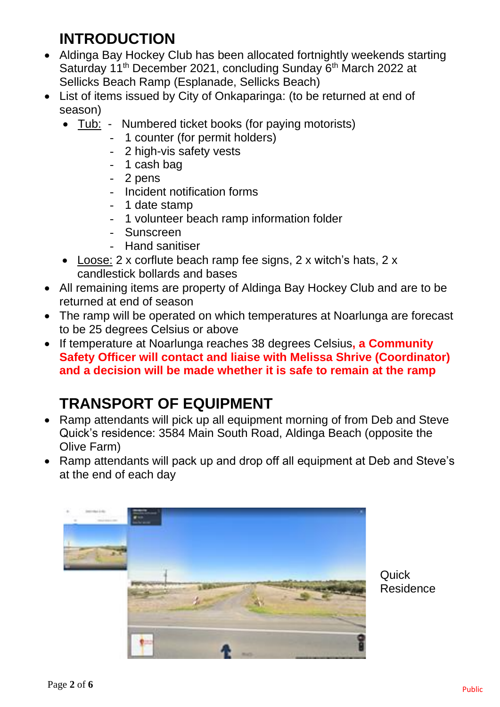### **INTRODUCTION**

- Aldinga Bay Hockey Club has been allocated fortnightly weekends starting Saturday 11<sup>th</sup> December 2021, concluding Sunday 6<sup>th</sup> March 2022 at Sellicks Beach Ramp (Esplanade, Sellicks Beach)
- List of items issued by City of Onkaparinga: (to be returned at end of season)
	- Tub: Numbered ticket books (for paying motorists)
		- 1 counter (for permit holders)
		- 2 high-vis safety vests
		- 1 cash bag
		- 2 pens
		- Incident notification forms
		- 1 date stamp
		- 1 volunteer beach ramp information folder
		- Sunscreen
		- Hand sanitiser
	- Loose: 2 x corflute beach ramp fee signs, 2 x witch's hats, 2 x candlestick bollards and bases
- All remaining items are property of Aldinga Bay Hockey Club and are to be returned at end of season
- The ramp will be operated on which temperatures at Noarlunga are forecast to be 25 degrees Celsius or above
- If temperature at Noarlunga reaches 38 degrees Celsius**, a Community Safety Officer will contact and liaise with Melissa Shrive (Coordinator) and a decision will be made whether it is safe to remain at the ramp**

## **TRANSPORT OF EQUIPMENT**

- Ramp attendants will pick up all equipment morning of from Deb and Steve Quick's residence: 3584 Main South Road, Aldinga Beach (opposite the Olive Farm)
- Ramp attendants will pack up and drop off all equipment at Deb and Steve's at the end of each day



**Quick** Residence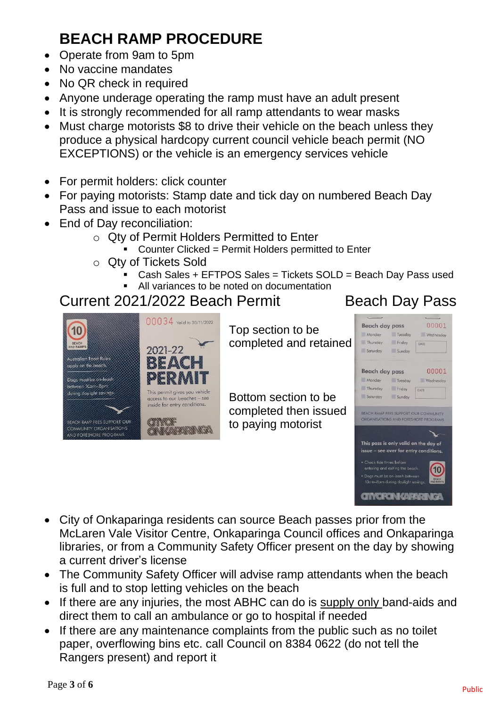## **BEACH RAMP PROCEDURE**

- Operate from 9am to 5pm
- No vaccine mandates
- No QR check in required
- Anyone underage operating the ramp must have an adult present
- It is strongly recommended for all ramp attendants to wear masks
- Must charge motorists \$8 to drive their vehicle on the beach unless they produce a physical hardcopy current council vehicle beach permit (NO EXCEPTIONS) or the vehicle is an emergency services vehicle
- For permit holders: click counter
- For paying motorists: Stamp date and tick day on numbered Beach Day Pass and issue to each motorist
- End of Day reconciliation:
	- o Qty of Permit Holders Permitted to Enter
		- Counter Clicked = Permit Holders permitted to Enter
	- o Qty of Tickets Sold
		- Cash Sales + EFTPOS Sales = Tickets SOLD = Beach Day Pass used
		- All variances to be noted on documentation

### Current 2021/2022 Beach Permit Beach Day Pass



Top section to be completed and retained

Bottom section to be completed then issued to paying motorist



- City of Onkaparinga residents can source Beach passes prior from the McLaren Vale Visitor Centre, Onkaparinga Council offices and Onkaparinga libraries, or from a Community Safety Officer present on the day by showing a current driver's license
- The Community Safety Officer will advise ramp attendants when the beach is full and to stop letting vehicles on the beach
- If there are any injuries, the most ABHC can do is supply only band-aids and direct them to call an ambulance or go to hospital if needed
- If there are any maintenance complaints from the public such as no toilet paper, overflowing bins etc. call Council on 8384 0622 (do not tell the Rangers present) and report it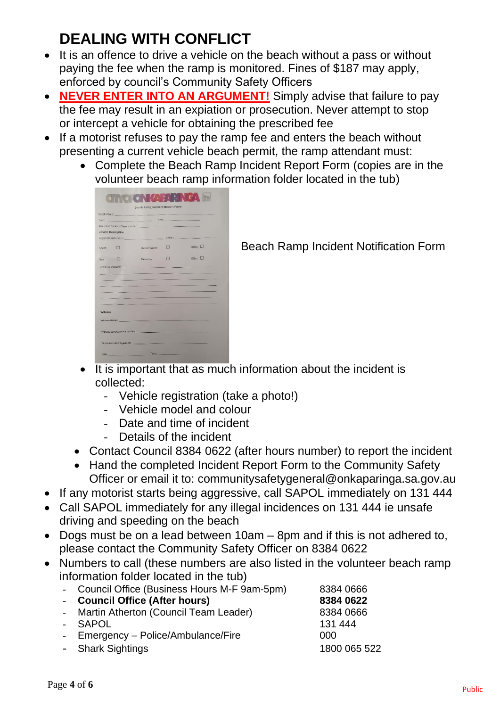## **DEALING WITH CONFLICT**

- It is an offence to drive a vehicle on the beach without a pass or without paying the fee when the ramp is monitored. Fines of \$187 may apply, enforced by council's Community Safety Officers
- **NEVER ENTER INTO AN ARGUMENT!** Simply advise that failure to pay the fee may result in an expiation or prosecution. Never attempt to stop or intercept a vehicle for obtaining the prescribed fee
- If a motorist refuses to pay the ramp fee and enters the beach without presenting a current vehicle beach permit, the ramp attendant must:
	- Complete the Beach Ramp Incident Report Form (copies are in the volunteer beach ramp information folder located in the tub)

|                            |        | <b>Beach Ramp Incident Report Form</b>                                                                                                                                                                                         |                                                                                                                                                                                                                                      |                                                                                                               |
|----------------------------|--------|--------------------------------------------------------------------------------------------------------------------------------------------------------------------------------------------------------------------------------|--------------------------------------------------------------------------------------------------------------------------------------------------------------------------------------------------------------------------------------|---------------------------------------------------------------------------------------------------------------|
|                            |        | Beach Ramp: https://www.com/communication.com/communication.com/communication.com/communication.com/                                                                                                                           |                                                                                                                                                                                                                                      |                                                                                                               |
|                            |        | Date: Time: Time: Time: 1999                                                                                                                                                                                                   |                                                                                                                                                                                                                                      |                                                                                                               |
|                            |        |                                                                                                                                                                                                                                |                                                                                                                                                                                                                                      |                                                                                                               |
| <b>Vehicle Description</b> |        |                                                                                                                                                                                                                                |                                                                                                                                                                                                                                      |                                                                                                               |
|                            |        |                                                                                                                                                                                                                                |                                                                                                                                                                                                                                      |                                                                                                               |
| Sedan :                    | $\Box$ | Station Wagon                                                                                                                                                                                                                  |                                                                                                                                                                                                                                      | <b>Utility</b> L                                                                                              |
| Van II                     |        | Motorbike                                                                                                                                                                                                                      | $\Box$                                                                                                                                                                                                                               | Other I                                                                                                       |
|                            |        | Details of incident: the contract of the contract of the contract of the contract of the contract of the contract of the contract of the contract of the contract of the contract of the contract of the contract of the contr |                                                                                                                                                                                                                                      |                                                                                                               |
|                            |        |                                                                                                                                                                                                                                |                                                                                                                                                                                                                                      |                                                                                                               |
|                            |        | <b>The company's company's company's company's</b>                                                                                                                                                                             |                                                                                                                                                                                                                                      |                                                                                                               |
|                            |        | and the property of the contract of the contract of the contract of the contract of                                                                                                                                            |                                                                                                                                                                                                                                      |                                                                                                               |
|                            |        |                                                                                                                                                                                                                                |                                                                                                                                                                                                                                      |                                                                                                               |
|                            |        | the property of the property of the property of                                                                                                                                                                                | <b>Contract Contract Contract Contract Contract Contract Contract Contract Contract Contract Contract Contract Contract Contract Contract Contract Contract Contract Contract Contract Contract Contract Contract Contract Contr</b> |                                                                                                               |
|                            |        | <b>Service Contract Contract</b>                                                                                                                                                                                               |                                                                                                                                                                                                                                      | the complete state of the complete state of the complete state of the complete state of the complete state of |
|                            |        | the property company of the company of the company of the company of the company of the company of                                                                                                                             |                                                                                                                                                                                                                                      |                                                                                                               |
| Witness                    |        |                                                                                                                                                                                                                                |                                                                                                                                                                                                                                      |                                                                                                               |
|                            |        |                                                                                                                                                                                                                                |                                                                                                                                                                                                                                      |                                                                                                               |
|                            |        | Witness Name: Name: Witness Name: Name: Name: Name: Name: Name: Name: Name: Name: Name: Name: Name: Name: Name: Name: Name: Name: Name: Name: Name: Name: Name: Name: Name: Name: Name: Name: Name: Name: Name: Name: Name: Na |                                                                                                                                                                                                                                      |                                                                                                               |
|                            |        |                                                                                                                                                                                                                                |                                                                                                                                                                                                                                      |                                                                                                               |
|                            |        | Witness contact phone number: www.common.com/                                                                                                                                                                                  |                                                                                                                                                                                                                                      |                                                                                                               |
|                            |        |                                                                                                                                                                                                                                |                                                                                                                                                                                                                                      |                                                                                                               |
|                            |        | Ramp attendant Signatures and Contract and Contract and Contract and Contract and                                                                                                                                              |                                                                                                                                                                                                                                      |                                                                                                               |
|                            |        |                                                                                                                                                                                                                                |                                                                                                                                                                                                                                      |                                                                                                               |
|                            |        |                                                                                                                                                                                                                                |                                                                                                                                                                                                                                      |                                                                                                               |

Beach Ramp Incident Notification Form

- It is important that as much information about the incident is collected:
	- Vehicle registration (take a photo!)
	- Vehicle model and colour
	- Date and time of incident
	- Details of the incident
- Contact Council 8384 0622 (after hours number) to report the incident
- Hand the completed Incident Report Form to the Community Safety Officer or email it to: communitysafetygeneral@onkaparinga.sa.gov.au
- If any motorist starts being aggressive, call SAPOL immediately on 131 444
- Call SAPOL immediately for any illegal incidences on 131 444 ie unsafe driving and speeding on the beach
- Dogs must be on a lead between 10am 8pm and if this is not adhered to, please contact the Community Safety Officer on 8384 0622
- Numbers to call (these numbers are also listed in the volunteer beach ramp information folder located in the tub)

| - Council Office (Business Hours M-F 9am-5pm) | 8384 0666    |
|-----------------------------------------------|--------------|
| - Council Office (After hours)                | 8384 0622    |
| - Martin Atherton (Council Team Leader)       | 8384 0666    |
| - SAPOL                                       | 131 444      |
| - Emergency – Police/Ambulance/Fire           | 000          |
| - Shark Sightings                             | 1800 065 522 |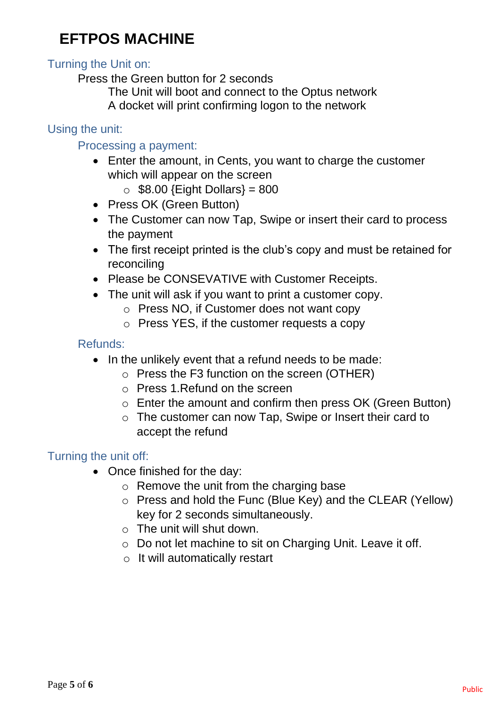### **EFTPOS MACHINE**

#### Turning the Unit on:

Press the Green button for 2 seconds

The Unit will boot and connect to the Optus network A docket will print confirming logon to the network

#### Using the unit:

#### Processing a payment:

- Enter the amount, in Cents, you want to charge the customer which will appear on the screen
	- $\circ$  \$8.00 {Eight Dollars} = 800
- Press OK (Green Button)
- The Customer can now Tap, Swipe or insert their card to process the payment
- The first receipt printed is the club's copy and must be retained for reconciling
- Please be CONSEVATIVE with Customer Receipts.
- The unit will ask if you want to print a customer copy.
	- o Press NO, if Customer does not want copy
	- o Press YES, if the customer requests a copy

#### Refunds:

- In the unlikely event that a refund needs to be made:
	- o Press the F3 function on the screen (OTHER)
	- o Press 1.Refund on the screen
	- o Enter the amount and confirm then press OK (Green Button)
	- o The customer can now Tap, Swipe or Insert their card to accept the refund

#### Turning the unit off:

- Once finished for the day:
	- o Remove the unit from the charging base
	- o Press and hold the Func (Blue Key) and the CLEAR (Yellow) key for 2 seconds simultaneously.
	- $\circ$  The unit will shut down.
	- o Do not let machine to sit on Charging Unit. Leave it off.
	- o It will automatically restart